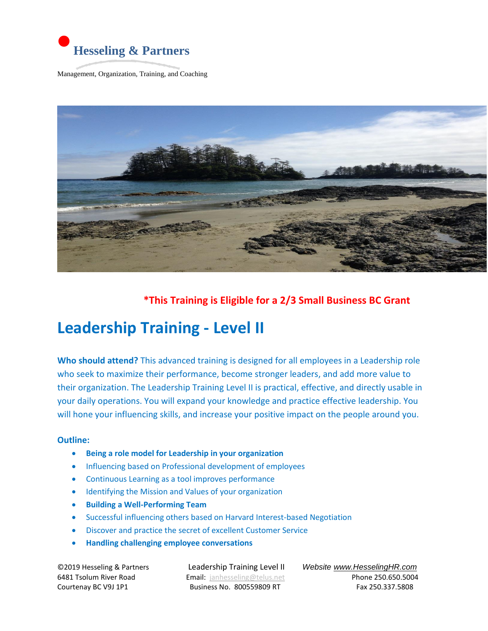

Management, Organization, Training, and Coaching



**\*This Training is Eligible for a 2/3 Small Business BC Grant**

## **Leadership Training - Level II**

**Who should attend?** This advanced training is designed for all employees in a Leadership role who seek to maximize their performance, become stronger leaders, and add more value to their organization. The Leadership Training Level II is practical, effective, and directly usable in your daily operations. You will expand your knowledge and practice effective leadership. You will hone your influencing skills, and increase your positive impact on the people around you.

## **Outline:**

- **Being a role model for Leadership in your organization**
- Influencing based on Professional development of employees
- Continuous Learning as a tool improves performance
- Identifying the Mission and Values of your organization
- **Building a Well-Performing Team**
- Successful influencing others based on Harvard Interest-based Negotiation
- Discover and practice the secret of excellent Customer Service
- **Handling challenging employee conversations**

©2019 Hesseling & PartnersLeadership Training Level II *Website www.HesselingHR.com* 6481 Tsolum River Road Email: [janhesseling@telus.net](mailto:janhesseling@telus.net) Phone 250.650.5004 Courtenay BC V9J 1P1 Business No. 800559809 RT Fax 250.337.5808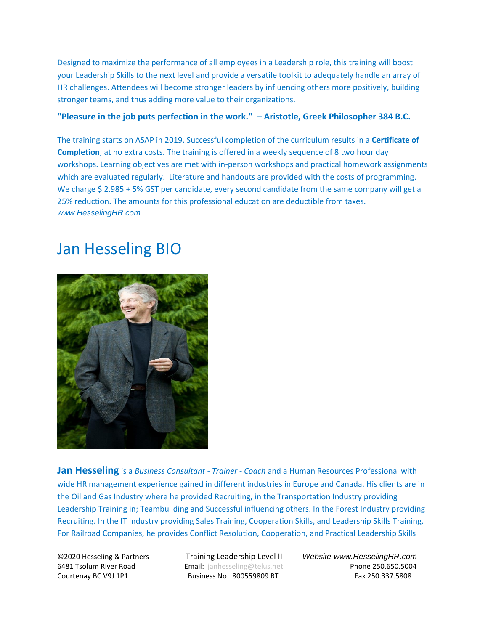Designed to maximize the performance of all employees in a Leadership role, this training will boost your Leadership Skills to the next level and provide a versatile toolkit to adequately handle an array of HR challenges. Attendees will become stronger leaders by influencing others more positively, building stronger teams, and thus adding more value to their organizations.

## **"Pleasure in the job puts perfection in the work." – Aristotle, Greek Philosopher 384 B.C.**

The training starts on ASAP in 2019. Successful completion of the curriculum results in a **Certificate of Completion**, at no extra costs. The training is offered in a weekly sequence of 8 two hour day workshops. Learning objectives are met with in-person workshops and practical homework assignments which are evaluated regularly. Literature and handouts are provided with the costs of programming. We charge \$ 2.985 + 5% GST per candidate, every second candidate from the same company will get a 25% reduction. The amounts for this professional education are deductible from taxes. *www.HesselingHR.com*

## Jan Hesseling BIO



**Jan Hesseling** is a *Business Consultant - Trainer - Coach* and a Human Resources Professional with wide HR management experience gained in different industries in Europe and Canada. His clients are in the Oil and Gas Industry where he provided Recruiting, in the Transportation Industry providing Leadership Training in; Teambuilding and Successful influencing others. In the Forest Industry providing Recruiting. In the IT Industry providing Sales Training, Cooperation Skills, and Leadership Skills Training. For Railroad Companies, he provides Conflict Resolution, Cooperation, and Practical Leadership Skills

©2020 Hesseling & PartnersTraining Leadership Level II *Website www.HesselingHR.com* 6481 Tsolum River Road Email: [janhesseling@telus.net](mailto:janhesseling@telus.net) Phone 250.650.5004 Courtenay BC V9J 1P1 Business No. 800559809 RT Fax 250.337.5808